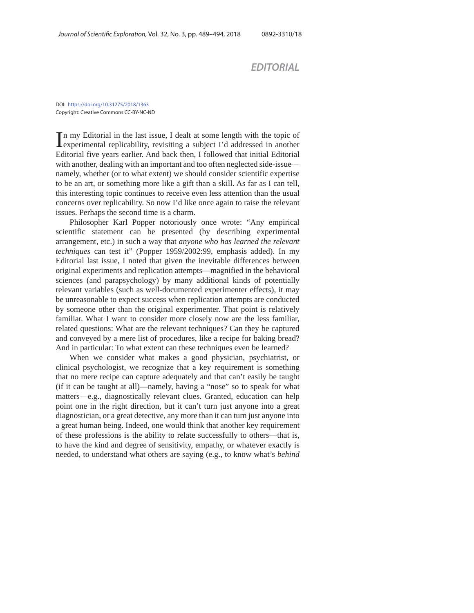## *EDITORIAL*

DOI: https://doi.org/10.31275/2018/1363 Copyright: Creative Commons CC-BY-NC-ND

In my Editorial in the last issue, I dealt at some length with the topic of experimental replicability, revisiting a subject I'd addressed in another experimental replicability, revisiting a subject I'd addressed in another Editorial five years earlier. And back then, I followed that initial Editorial with another, dealing with an important and too often neglected side-issue namely, whether (or to what extent) we should consider scientific expertise to be an art, or something more like a gift than a skill. As far as I can tell, this interesting topic continues to receive even less attention than the usual concerns over replicability. So now I'd like once again to raise the relevant issues. Perhaps the second time is a charm.

Philosopher Karl Popper notoriously once wrote: "Any empirical scientific statement can be presented (by describing experimental arrangement, etc.) in such a way that *anyone who has learned the relevant techniques* can test it" (Popper 1959/2002:99, emphasis added). In my Editorial last issue, I noted that given the inevitable differences between original experiments and replication attempts—magnified in the behavioral sciences (and parapsychology) by many additional kinds of potentially relevant variables (such as well-documented experimenter effects), it may be unreasonable to expect success when replication attempts are conducted by someone other than the original experimenter. That point is relatively familiar. What I want to consider more closely now are the less familiar, related questions: What are the relevant techniques? Can they be captured and conveyed by a mere list of procedures, like a recipe for baking bread? And in particular: To what extent can these techniques even be learned?

When we consider what makes a good physician, psychiatrist, or clinical psychologist, we recognize that a key requirement is something that no mere recipe can capture adequately and that can't easily be taught (if it can be taught at all)—namely, having a "nose" so to speak for what matters—e.g., diagnostically relevant clues. Granted, education can help point one in the right direction, but it can't turn just anyone into a great diagnostician, or a great detective, any more than it can turn just anyone into a great human being. Indeed, one would think that another key requirement of these professions is the ability to relate successfully to others—that is, to have the kind and degree of sensitivity, empathy, or whatever exactly is needed, to understand what others are saying (e.g., to know what's *behind*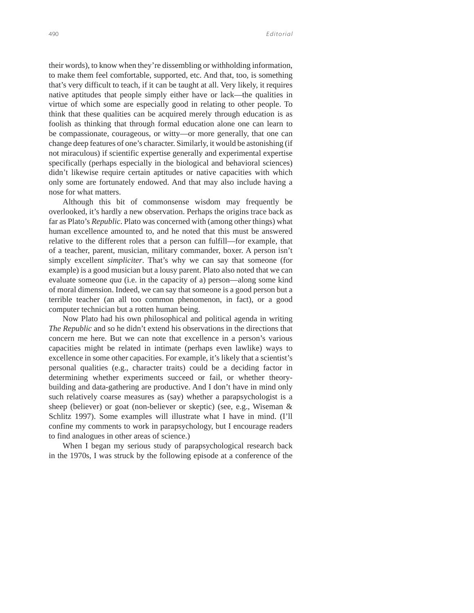their words), to know when they're dissembling or withholding information, to make them feel comfortable, supported, etc. And that, too, is something that's very difficult to teach, if it can be taught at all. Very likely, it requires native aptitudes that people simply either have or lack—the qualities in virtue of which some are especially good in relating to other people. To think that these qualities can be acquired merely through education is as foolish as thinking that through formal education alone one can learn to be compassionate, courageous, or witty—or more generally, that one can change deep features of one's character. Similarly, it would be astonishing (if not miraculous) if scientific expertise generally and experimental expertise specifically (perhaps especially in the biological and behavioral sciences) didn't likewise require certain aptitudes or native capacities with which only some are fortunately endowed. And that may also include having a nose for what matters.

Although this bit of commonsense wisdom may frequently be overlooked, it's hardly a new observation. Perhaps the origins trace back as far as Plato's *Republic*. Plato was concerned with (among other things) what human excellence amounted to, and he noted that this must be answered relative to the different roles that a person can fulfill—for example, that of a teacher, parent, musician, military commander, boxer. A person isn't simply excellent *simpliciter*. That's why we can say that someone (for example) is a good musician but a lousy parent. Plato also noted that we can evaluate someone *qua* (i.e. in the capacity of a) person—along some kind of moral dimension. Indeed, we can say that someone is a good person but a terrible teacher (an all too common phenomenon, in fact), or a good computer technician but a rotten human being.

Now Plato had his own philosophical and political agenda in writing *The Republic* and so he didn't extend his observations in the directions that concern me here. But we can note that excellence in a person's various capacities might be related in intimate (perhaps even lawlike) ways to excellence in some other capacities. For example, it's likely that a scientist's personal qualities (e.g., character traits) could be a deciding factor in determining whether experiments succeed or fail, or whether theorybuilding and data-gathering are productive. And I don't have in mind only such relatively coarse measures as (say) whether a parapsychologist is a sheep (believer) or goat (non-believer or skeptic) (see, e.g., Wiseman & Schlitz 1997). Some examples will illustrate what I have in mind. (I'll confine my comments to work in parapsychology, but I encourage readers to find analogues in other areas of science.)

When I began my serious study of parapsychological research back in the 1970s, I was struck by the following episode at a conference of the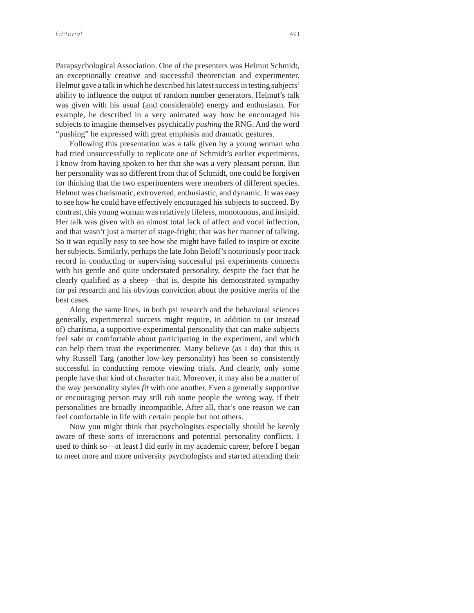Parapsychological Association. One of the presenters was Helmut Schmidt, an exceptionally creative and successful theoretician and experimenter. Helmut gave a talk in which he described his latest success in testing subjects' ability to influence the output of random number generators. Helmut's talk was given with his usual (and considerable) energy and enthusiasm. For example, he described in a very animated way how he encouraged his subjects to imagine themselves psychically *pushing* the RNG. And the word "pushing" he expressed with great emphasis and dramatic gestures.

Following this presentation was a talk given by a young woman who had tried unsuccessfully to replicate one of Schmidt's earlier experiments. I know from having spoken to her that she was a very pleasant person. But her personality was so different from that of Schmidt, one could be forgiven for thinking that the two experimenters were members of different species. Helmut was charismatic, extroverted, enthusiastic, and dynamic. It was easy to see how he could have effectively encouraged his subjects to succeed. By contrast, this young woman was relatively lifeless, monotonous, and insipid. Her talk was given with an almost total lack of affect and vocal inflection, and that wasn't just a matter of stage-fright; that was her manner of talking. So it was equally easy to see how she might have failed to inspire or excite her subjects. Similarly, perhaps the late John Beloff's notoriously poor track record in conducting or supervising successful psi experiments connects with his gentle and quite understated personality, despite the fact that he clearly qualified as a sheep—that is, despite his demonstrated sympathy for psi research and his obvious conviction about the positive merits of the best cases.

Along the same lines, in both psi research and the behavioral sciences generally, experimental success might require, in addition to (or instead of) charisma, a supportive experimental personality that can make subjects feel safe or comfortable about participating in the experiment, and which can help them trust the experimenter. Many believe (as I do) that this is why Russell Targ (another low-key personality) has been so consistently successful in conducting remote viewing trials. And clearly, only some people have that kind of character trait. Moreover, it may also be a matter of the way personality styles *fit* with one another. Even a generally supportive or encouraging person may still rub some people the wrong way, if their personalities are broadly incompatible. After all, that's one reason we can feel comfortable in life with certain people but not others.

Now you might think that psychologists especially should be keenly aware of these sorts of interactions and potential personality conflicts. I used to think so—at least I did early in my academic career, before I began to meet more and more university psychologists and started attending their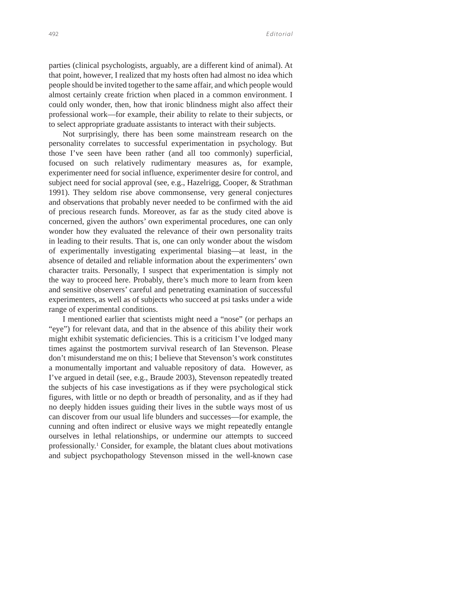parties (clinical psychologists, arguably, are a different kind of animal). At that point, however, I realized that my hosts often had almost no idea which people should be invited together to the same affair, and which people would almost certainly create friction when placed in a common environment. I could only wonder, then, how that ironic blindness might also affect their professional work—for example, their ability to relate to their subjects, or to select appropriate graduate assistants to interact with their subjects.

Not surprisingly, there has been some mainstream research on the personality correlates to successful experimentation in psychology. But those I've seen have been rather (and all too commonly) superficial, focused on such relatively rudimentary measures as, for example, experimenter need for social influence, experimenter desire for control, and subject need for social approval (see, e.g., Hazelrigg, Cooper, & Strathman 1991). They seldom rise above commonsense, very general conjectures and observations that probably never needed to be confirmed with the aid of precious research funds. Moreover, as far as the study cited above is concerned, given the authors' own experimental procedures, one can only wonder how they evaluated the relevance of their own personality traits in leading to their results. That is, one can only wonder about the wisdom of experimentally investigating experimental biasing—at least, in the absence of detailed and reliable information about the experimenters' own character traits. Personally, I suspect that experimentation is simply not the way to proceed here. Probably, there's much more to learn from keen and sensitive observers' careful and penetrating examination of successful experimenters, as well as of subjects who succeed at psi tasks under a wide range of experimental conditions.

I mentioned earlier that scientists might need a "nose" (or perhaps an "eye") for relevant data, and that in the absence of this ability their work might exhibit systematic deficiencies. This is a criticism I've lodged many times against the postmortem survival research of Ian Stevenson. Please don't misunderstand me on this; I believe that Stevenson's work constitutes a monumentally important and valuable repository of data. However, as I've argued in detail (see, e.g., Braude 2003), Stevenson repeatedly treated the subjects of his case investigations as if they were psychological stick figures, with little or no depth or breadth of personality, and as if they had no deeply hidden issues guiding their lives in the subtle ways most of us can discover from our usual life blunders and successes—for example, the cunning and often indirect or elusive ways we might repeatedly entangle ourselves in lethal relationships, or undermine our attempts to succeed professionally.<sup>1</sup> Consider, for example, the blatant clues about motivations and subject psychopathology Stevenson missed in the well-known case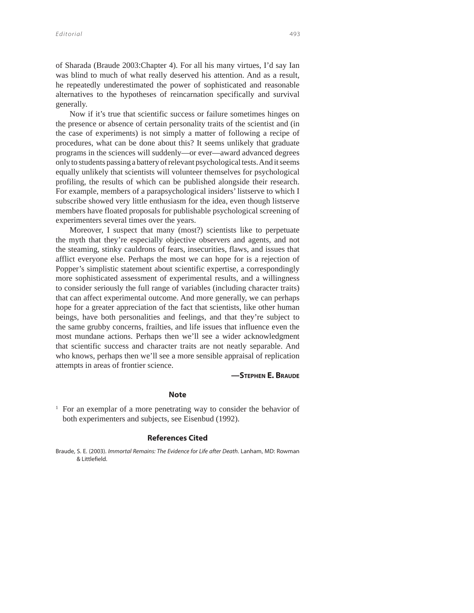of Sharada (Braude 2003:Chapter 4). For all his many virtues, I'd say Ian was blind to much of what really deserved his attention. And as a result, he repeatedly underestimated the power of sophisticated and reasonable alternatives to the hypotheses of reincarnation specifically and survival generally.

Now if it's true that scientific success or failure sometimes hinges on the presence or absence of certain personality traits of the scientist and (in the case of experiments) is not simply a matter of following a recipe of procedures, what can be done about this? It seems unlikely that graduate programs in the sciences will suddenly—or ever—award advanced degrees only to students passing a battery of relevant psychological tests. And it seems equally unlikely that scientists will volunteer themselves for psychological profiling, the results of which can be published alongside their research. For example, members of a parapsychological insiders' listserve to which I subscribe showed very little enthusiasm for the idea, even though listserve members have floated proposals for publishable psychological screening of experimenters several times over the years.

Moreover, I suspect that many (most?) scientists like to perpetuate the myth that they're especially objective observers and agents, and not the steaming, stinky cauldrons of fears, insecurities, flaws, and issues that afflict everyone else. Perhaps the most we can hope for is a rejection of Popper's simplistic statement about scientific expertise, a correspondingly more sophisticated assessment of experimental results, and a willingness to consider seriously the full range of variables (including character traits) that can affect experimental outcome. And more generally, we can perhaps hope for a greater appreciation of the fact that scientists, like other human beings, have both personalities and feelings, and that they're subject to the same grubby concerns, frailties, and life issues that influence even the most mundane actions. Perhaps then we'll see a wider acknowledgment that scientific success and character traits are not neatly separable. And who knows, perhaps then we'll see a more sensible appraisal of replication attempts in areas of frontier science.

**—STEPHEN E. BRAUDE**

## **Note**

<sup>1</sup> For an exemplar of a more penetrating way to consider the behavior of both experimenters and subjects, see Eisenbud (1992).

## **References Cited**

Braude, S. E. (2003). Immortal Remains: The Evidence for Life after Death. Lanham, MD: Rowman & Littlefield.